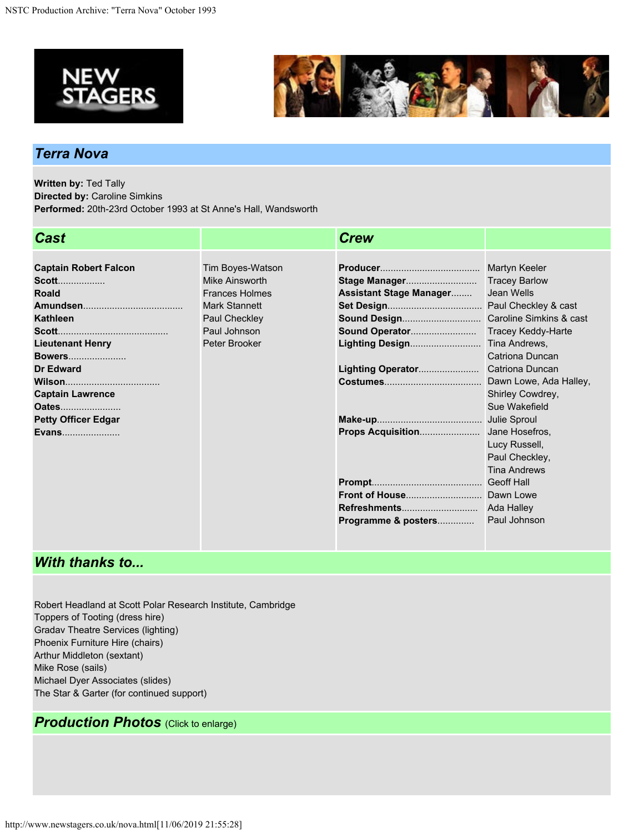



## *Terra Nova*

**Written by:** Ted Tally **Directed by:** Caroline Simkins **Performed:** 20th-23rd October 1993 at St Anne's Hall, Wandsworth

| <b>Cast</b>                  |                       | <b>Crew</b>                    |                        |
|------------------------------|-----------------------|--------------------------------|------------------------|
|                              |                       |                                |                        |
| <b>Captain Robert Falcon</b> | Tim Boyes-Watson      |                                | Martyn Keeler          |
| <b>Scott</b>                 | Mike Ainsworth        | Stage Manager                  | <b>Tracey Barlow</b>   |
| <b>Roald</b>                 | <b>Frances Holmes</b> | <b>Assistant Stage Manager</b> | Jean Wells             |
|                              | <b>Mark Stannett</b>  |                                |                        |
| Kathleen                     | Paul Checkley         |                                |                        |
|                              | Paul Johnson          |                                | Tracey Keddy-Harte     |
| <b>Lieutenant Henry</b>      | Peter Brooker         |                                | Tina Andrews,          |
| <b>Bowers</b>                |                       |                                | Catriona Duncan        |
| <b>Dr Edward</b>             |                       | Lighting Operator              | <b>Catriona Duncan</b> |
| <b>Wilson</b>                |                       |                                |                        |
| <b>Captain Lawrence</b>      |                       |                                | Shirley Cowdrey,       |
| Oates                        |                       |                                | Sue Wakefield          |
| <b>Petty Officer Edgar</b>   |                       |                                |                        |
| <b>Evans</b>                 |                       |                                |                        |
|                              |                       |                                | Lucy Russell,          |
|                              |                       |                                | Paul Checkley,         |
|                              |                       |                                | <b>Tina Andrews</b>    |
|                              |                       |                                |                        |
|                              |                       |                                |                        |
|                              |                       |                                | Ada Halley             |
|                              |                       | Programme & posters            | Paul Johnson           |

## *With thanks to...*

Robert Headland at Scott Polar Research Institute, Cambridge Toppers of Tooting (dress hire) Gradav Theatre Services (lighting) Phoenix Furniture Hire (chairs) Arthur Middleton (sextant) Mike Rose (sails) Michael Dyer Associates (slides) The Star & Garter (for continued support)

## *Production Photos* (Click to enlarge)